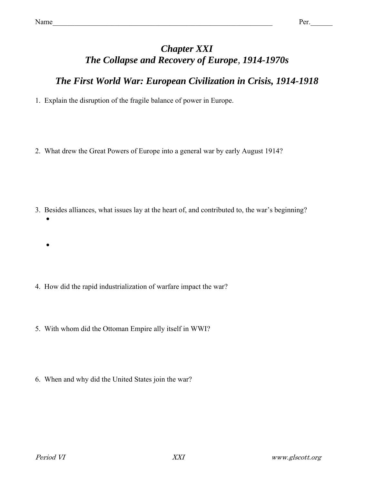## *Chapter XXI The Collapse and Recovery of Europe, 1914-1970s*

## *The First World War: European Civilization in Crisis, 1914-1918*

1. Explain the disruption of the fragile balance of power in Europe.

2. What drew the Great Powers of Europe into a general war by early August 1914?

3. Besides alliances, what issues lay at the heart of, and contributed to, the war's beginning?  $\bullet$ 

- 4. How did the rapid industrialization of warfare impact the war?
- 5. With whom did the Ottoman Empire ally itself in WWI?
- 6. When and why did the United States join the war?

 $\bullet$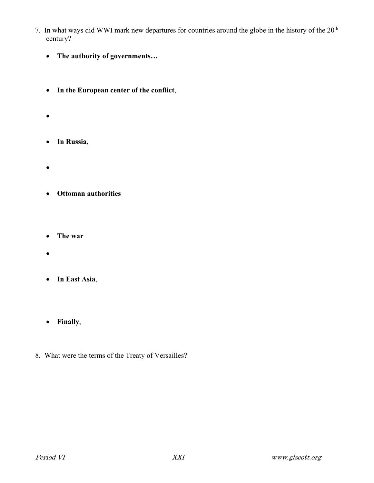- 7. In what ways did WWI mark new departures for countries around the globe in the history of the 20<sup>th</sup> century?
	- **The authority of governments…**
	- **In the European center of the conflict**,
	- $\bullet$
	- **In Russia**,
	- $\bullet$
	- **Ottoman authorities**
	- **The war**
	- $\bullet$
	- **In East Asia**,
	- **Finally**,
- 8. What were the terms of the Treaty of Versailles?